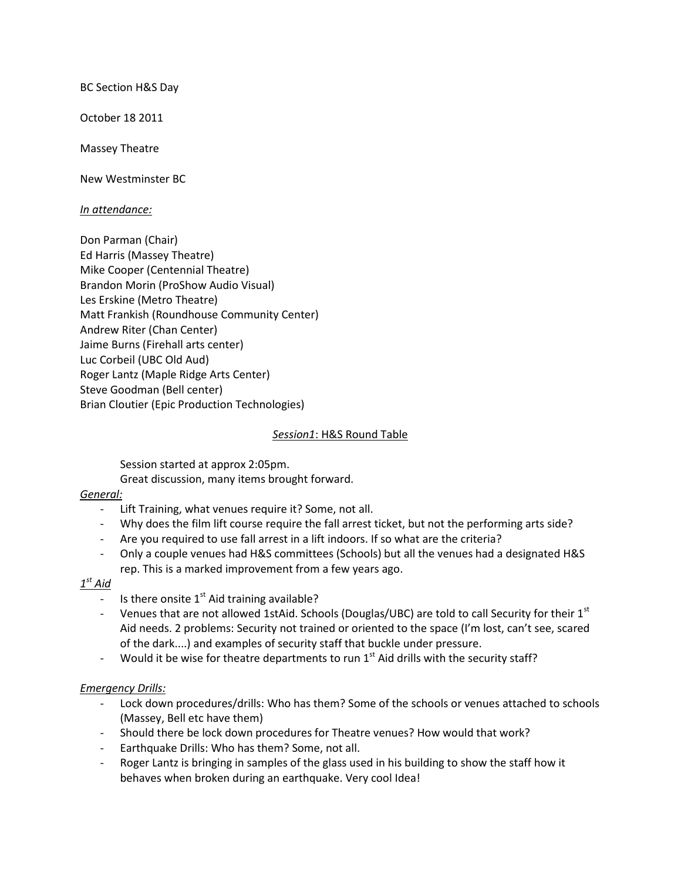BC Section H&S Day

October 18 2011

Massey Theatre

New Westminster BC

### *In attendance:*

Don Parman (Chair) Ed Harris (Massey Theatre) Mike Cooper (Centennial Theatre) Brandon Morin (ProShow Audio Visual) Les Erskine (Metro Theatre) Matt Frankish (Roundhouse Community Center) Andrew Riter (Chan Center) Jaime Burns (Firehall arts center) Luc Corbeil (UBC Old Aud) Roger Lantz (Maple Ridge Arts Center) Steve Goodman (Bell center) Brian Cloutier (Epic Production Technologies)

#### *Session1*: H&S Round Table

Session started at approx 2:05pm.

Great discussion, many items brought forward.

### *General:*

- Lift Training, what venues require it? Some, not all.
- Why does the film lift course require the fall arrest ticket, but not the performing arts side?
- Are you required to use fall arrest in a lift indoors. If so what are the criteria?
- Only a couple venues had H&S committees (Schools) but all the venues had a designated H&S rep. This is a marked improvement from a few years ago.

# *1 st Aid*

- Is there onsite  $1<sup>st</sup>$  Aid training available?
- Venues that are not allowed 1stAid. Schools (Douglas/UBC) are told to call Security for their 1st Aid needs. 2 problems: Security not trained or oriented to the space (I'm lost, can't see, scared of the dark....) and examples of security staff that buckle under pressure.
- Would it be wise for theatre departments to run  $1<sup>st</sup>$  Aid drills with the security staff?

## *Emergency Drills:*

- Lock down procedures/drills: Who has them? Some of the schools or venues attached to schools (Massey, Bell etc have them)
- Should there be lock down procedures for Theatre venues? How would that work?
- Earthquake Drills: Who has them? Some, not all.
- Roger Lantz is bringing in samples of the glass used in his building to show the staff how it behaves when broken during an earthquake. Very cool Idea!